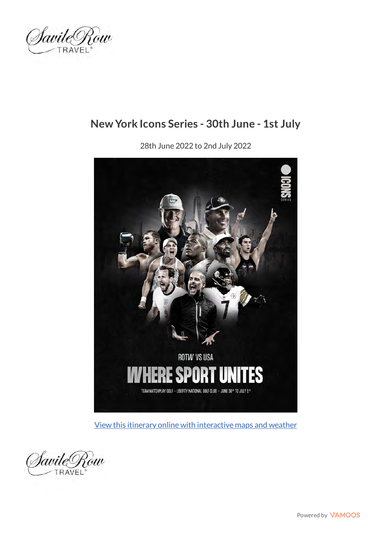

### **New York Icons Series - 30th June - 1st July**

28th June 2022 to 2nd July 2022



[View this itinerary online with interactive maps and weather](https://web.vamoos.com/sample-trip/U0FWSUxFUk9XLUlDT05TMjAyMg==)

SavileRow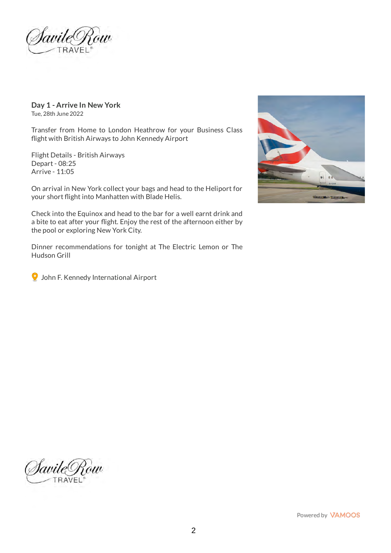)avileO ów

**Day 1 - Arrive In New York** Tue, 28th June 2022

Transfer from Home to London Heathrow for your Business Class flight with British Airways to John Kennedy Airport

Flight Details - British Airways Depart - 08:25 Arrive - 11:05

On arrival in New York collect your bags and head to the Heliport for your short flight into Manhatten with Blade Helis.

Check into the Equinox and head to the bar for a well earnt drink and a bite to eat after your flight. Enjoy the rest of the afternoon either by the pool or exploring New York City.

Dinner recommendations for tonight at The Electric Lemon or The Hudson Grill



John F. Kennedy International Airport



SavileRow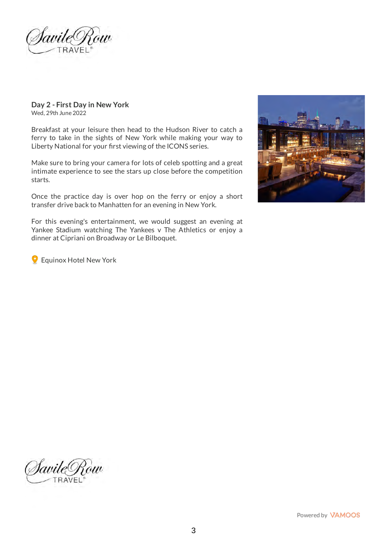)avileO iw

#### **Day 2 - First Day in New York** Wed, 29th June 2022

Breakfast at your leisure then head to the Hudson River to catch a ferry to take in the sights of New York while making your way to Liberty National for your first viewing of the ICONS series.

Make sure to bring your camera for lots of celeb spotting and a great intimate experience to see the stars up close before the competition starts.

Once the practice day is over hop on the ferry or enjoy a short transfer drive back to Manhatten for an evening in New York.



For this evening's entertainment, we would suggest an evening at Yankee Stadium watching The Yankees v The Athletics or enjoy a dinner at Cipriani on Broadway or Le Bilboquet.

Equinox Hotel New York

SavileRow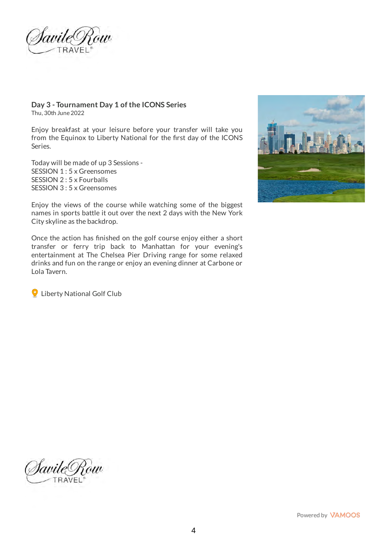Iavile <sup>(</sup>

#### **Day 3 - Tournament Day 1 of the ICONS Series** Thu, 30th June 2022

Enjoy breakfast at your leisure before your transfer will take you from the Equinox to Liberty National for the first day of the ICONS Series.

Today will be made of up 3 Sessions - SESSION 1 : 5 x Greensomes SESSION 2 : 5 x Fourballs SESSION 3 : 5 x Greensomes



Enjoy the views of the course while watching some of the biggest names in sports battle it out over the next 2 days with the New York City skyline as the backdrop.

Once the action has finished on the golf course enjoy either a short transfer or ferry trip back to Manhattan for your evening's entertainment at The Chelsea Pier Driving range for some relaxed drinks and fun on the range or enjoy an evening dinner at Carbone or Lola Tavern.

**Q** Liberty National Golf Club

SavileRow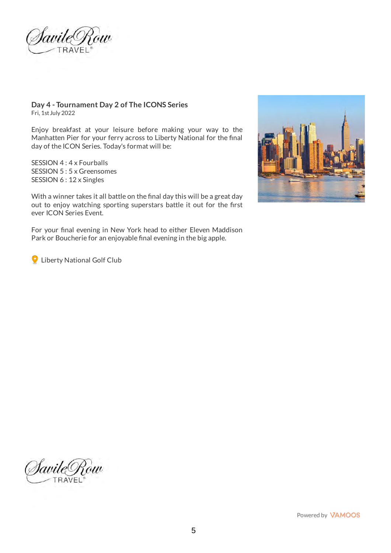)avile

#### **Day 4 - Tournament Day 2 of The ICONS Series** Fri, 1st July 2022

Enjoy breakfast at your leisure before making your way to the Manhatten Pier for your ferry across to Liberty National for the final day of the ICON Series. Today's format will be:

SESSION 4 : 4 x Fourballs SESSION 5 : 5 x Greensomes SESSION 6 : 12 x Singles

With a winner takes it all battle on the final day this will be a great day out to enjoy watching sporting superstars battle it out for the first ever ICON Series Event.

For your final evening in New York head to either Eleven Maddison Park or Boucherie for an enjoyable final evening in the big apple.

**Q** Liberty National Golf Club



JavileT Zow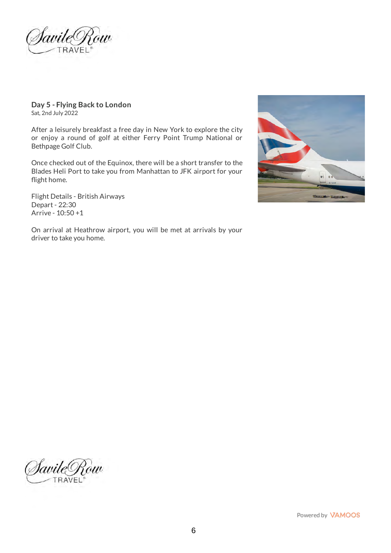<u> Savile Row</u>

**Day 5 - Flying Back to London** Sat, 2nd July 2022

After a leisurely breakfast a free day in New York to explore the city or enjoy a round of golf at either Ferry Point Trump National or Bethpage Golf Club.

Once checked out of the Equinox, there will be a short transfer to the Blades Heli Port to take you from Manhattan to JFK airport for your flight home.

Flight Details - British Airways Depart - 22:30 Arrive - 10:50 +1



On arrival at Heathrow airport, you will be met at arrivals by your driver to take you home.

SavileRow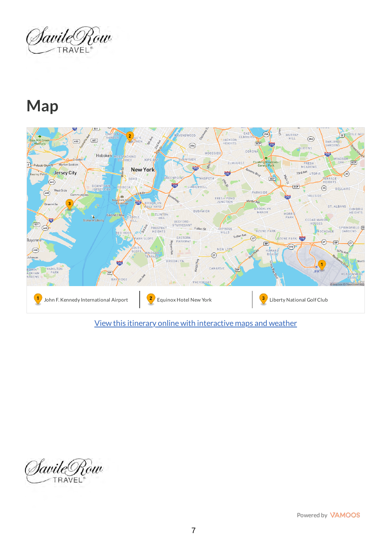SavileRow

## **Map**



[View this itinerary online with interactive maps and weather](https://web.vamoos.com/sample-trip-maps/U0FWSUxFUk9XLUlDT05TMjAyMg==)

SavileRow